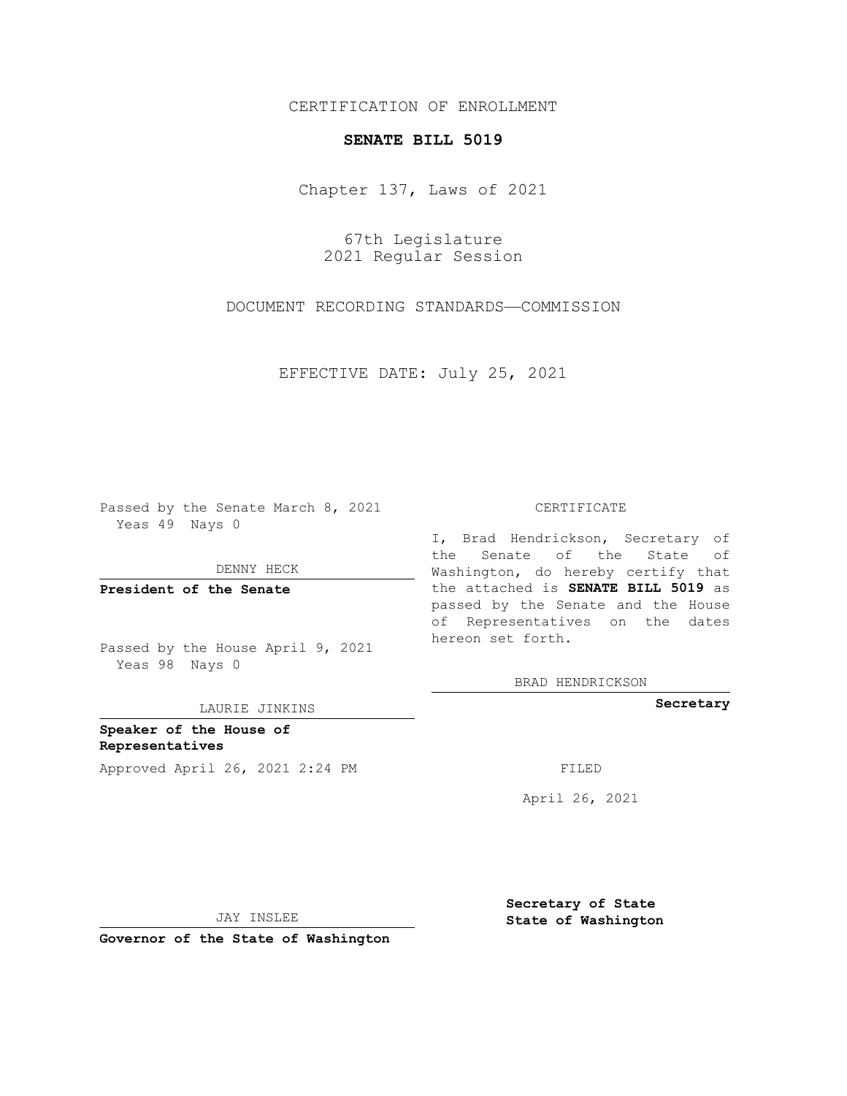## CERTIFICATION OF ENROLLMENT

## **SENATE BILL 5019**

Chapter 137, Laws of 2021

67th Legislature 2021 Regular Session

DOCUMENT RECORDING STANDARDS—COMMISSION

EFFECTIVE DATE: July 25, 2021

Passed by the Senate March 8, 2021 Yeas 49 Nays 0

DENNY HECK

**President of the Senate**

Passed by the House April 9, 2021 Yeas 98 Nays 0

LAURIE JINKINS

**Speaker of the House of Representatives** Approved April 26, 2021 2:24 PM FILED

## CERTIFICATE

I, Brad Hendrickson, Secretary of the Senate of the State of Washington, do hereby certify that the attached is **SENATE BILL 5019** as passed by the Senate and the House of Representatives on the dates hereon set forth.

BRAD HENDRICKSON

**Secretary**

April 26, 2021

JAY INSLEE

**Governor of the State of Washington**

**Secretary of State State of Washington**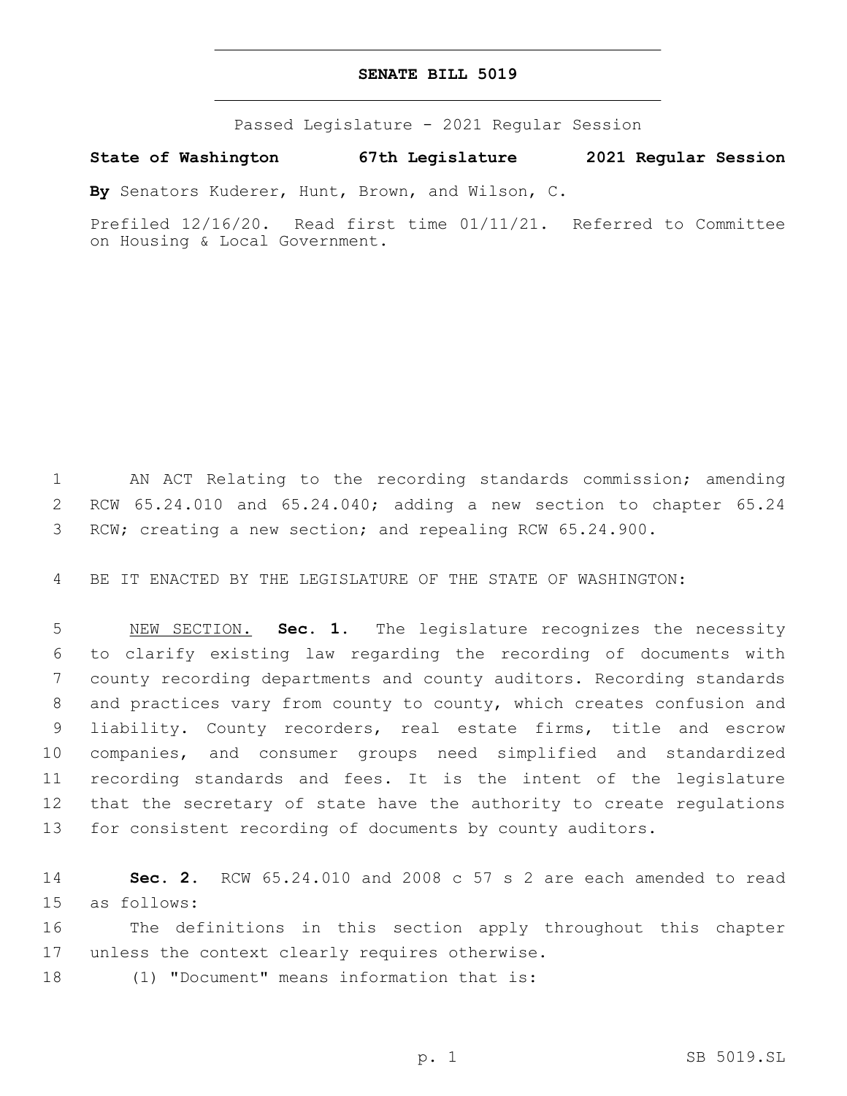## **SENATE BILL 5019**

Passed Legislature - 2021 Regular Session

**State of Washington 67th Legislature 2021 Regular Session**

**By** Senators Kuderer, Hunt, Brown, and Wilson, C.

Prefiled 12/16/20. Read first time 01/11/21. Referred to Committee on Housing & Local Government.

1 AN ACT Relating to the recording standards commission; amending 2 RCW 65.24.010 and 65.24.040; adding a new section to chapter 65.24 3 RCW; creating a new section; and repealing RCW 65.24.900.

4 BE IT ENACTED BY THE LEGISLATURE OF THE STATE OF WASHINGTON:

 NEW SECTION. **Sec. 1.** The legislature recognizes the necessity to clarify existing law regarding the recording of documents with county recording departments and county auditors. Recording standards and practices vary from county to county, which creates confusion and liability. County recorders, real estate firms, title and escrow companies, and consumer groups need simplified and standardized recording standards and fees. It is the intent of the legislature that the secretary of state have the authority to create regulations for consistent recording of documents by county auditors.

14 **Sec. 2.** RCW 65.24.010 and 2008 c 57 s 2 are each amended to read 15 as follows:

16 The definitions in this section apply throughout this chapter 17 unless the context clearly requires otherwise.

18 (1) "Document" means information that is: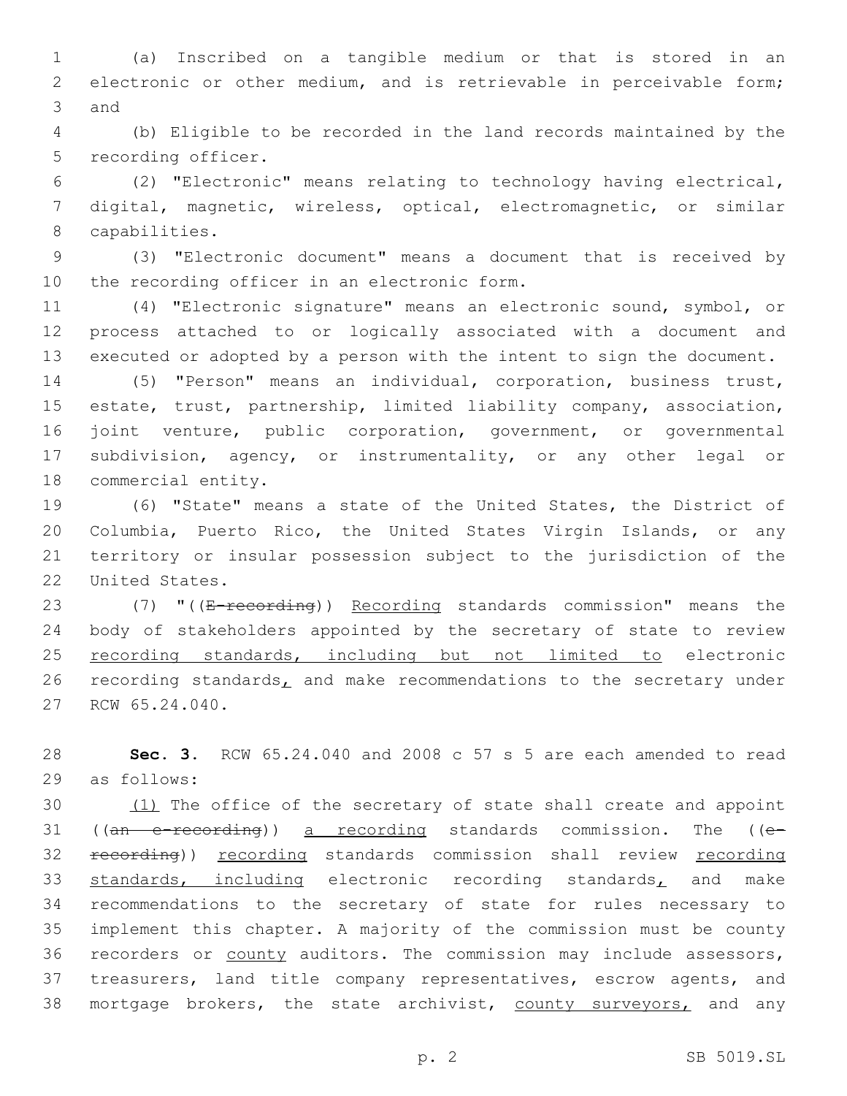1 (a) Inscribed on a tangible medium or that is stored in an 2 electronic or other medium, and is retrievable in perceivable form; 3 and

4 (b) Eligible to be recorded in the land records maintained by the 5 recording officer.

6 (2) "Electronic" means relating to technology having electrical, 7 digital, magnetic, wireless, optical, electromagnetic, or similar 8 capabilities.

9 (3) "Electronic document" means a document that is received by 10 the recording officer in an electronic form.

11 (4) "Electronic signature" means an electronic sound, symbol, or 12 process attached to or logically associated with a document and 13 executed or adopted by a person with the intent to sign the document.

 (5) "Person" means an individual, corporation, business trust, estate, trust, partnership, limited liability company, association, joint venture, public corporation, government, or governmental subdivision, agency, or instrumentality, or any other legal or 18 commercial entity.

 (6) "State" means a state of the United States, the District of Columbia, Puerto Rico, the United States Virgin Islands, or any territory or insular possession subject to the jurisdiction of the 22 United States.

23 (7) "((E-recording)) Recording standards commission" means the 24 body of stakeholders appointed by the secretary of state to review 25 recording standards, including but not limited to electronic 26 recording standards, and make recommendations to the secretary under 27 RCW 65.24.040.

28 **Sec. 3.** RCW 65.24.040 and 2008 c 57 s 5 are each amended to read 29 as follows:

30 (1) The office of the secretary of state shall create and appoint 31 ((an e-recording)) a recording standards commission. The ((e-32 recording)) recording standards commission shall review recording 33 standards, including electronic recording standards, and make 34 recommendations to the secretary of state for rules necessary to 35 implement this chapter. A majority of the commission must be county 36 recorders or county auditors. The commission may include assessors, 37 treasurers, land title company representatives, escrow agents, and 38 mortgage brokers, the state archivist, county surveyors, and any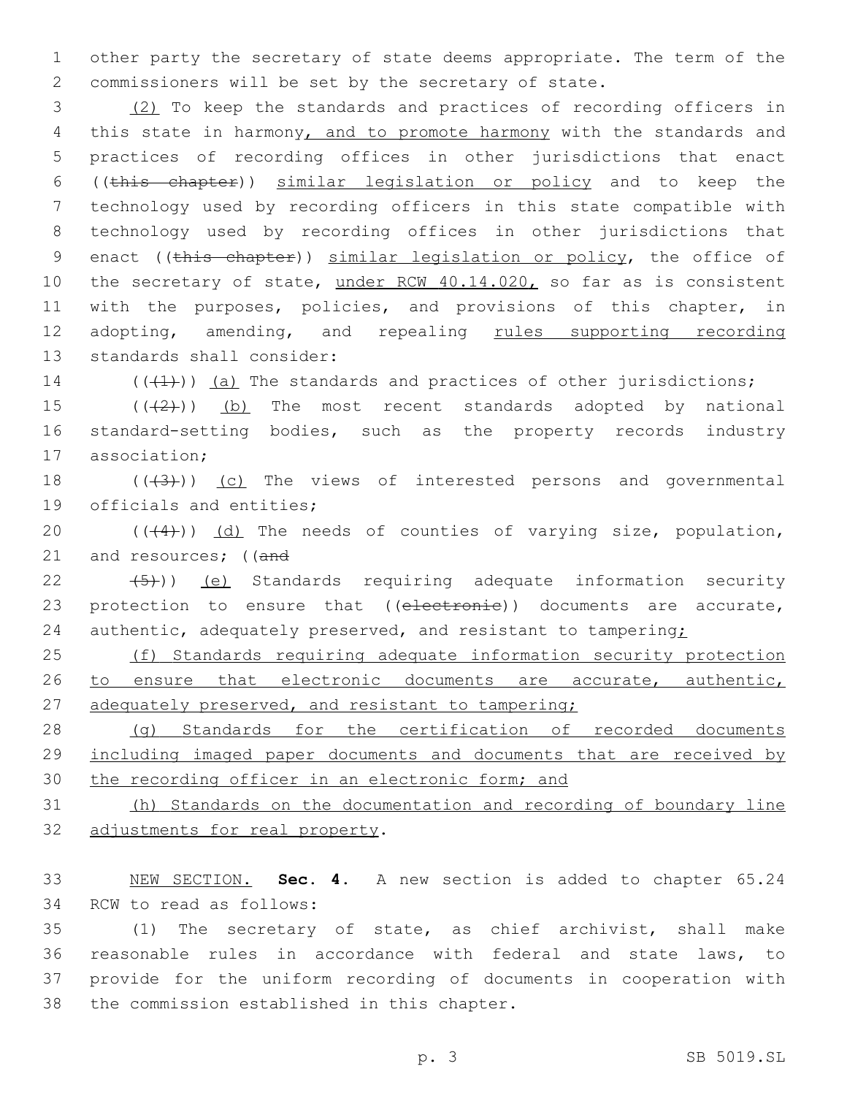1 other party the secretary of state deems appropriate. The term of the 2 commissioners will be set by the secretary of state.

3 (2) To keep the standards and practices of recording officers in 4 this state in harmony, and to promote harmony with the standards and 5 practices of recording offices in other jurisdictions that enact 6 ((this chapter)) similar legislation or policy and to keep the 7 technology used by recording officers in this state compatible with 8 technology used by recording offices in other jurisdictions that 9 enact ((this chapter)) similar legislation or policy, the office of 10 the secretary of state, under RCW 40.14.020, so far as is consistent 11 with the purposes, policies, and provisions of this chapter, in 12 adopting, amending, and repealing rules supporting recording 13 standards shall consider:

14  $((+1))$  (a) The standards and practices of other jurisdictions;

15  $((+2+))$  (b) The most recent standards adopted by national 16 standard-setting bodies, such as the property records industry 17 association;

18  $((+3+))$  (c) The views of interested persons and governmental 19 officials and entities;

20  $((+4))$   $(d)$  The needs of counties of varying size, population, 21 and resources; ((and

22  $(5)$ )) (e) Standards requiring adequate information security 23 protection to ensure that ((electronie)) documents are accurate, 24 authentic, adequately preserved, and resistant to tampering;

25 (f) Standards requiring adequate information security protection 26 to ensure that electronic documents are accurate, authentic, 27 adequately preserved, and resistant to tampering;

28 (g) Standards for the certification of recorded documents 29 including imaged paper documents and documents that are received by 30 the recording officer in an electronic form; and

31 (h) Standards on the documentation and recording of boundary line 32 adjustments for real property.

33 NEW SECTION. **Sec. 4.** A new section is added to chapter 65.24 34 RCW to read as follows:

 (1) The secretary of state, as chief archivist, shall make reasonable rules in accordance with federal and state laws, to provide for the uniform recording of documents in cooperation with 38 the commission established in this chapter.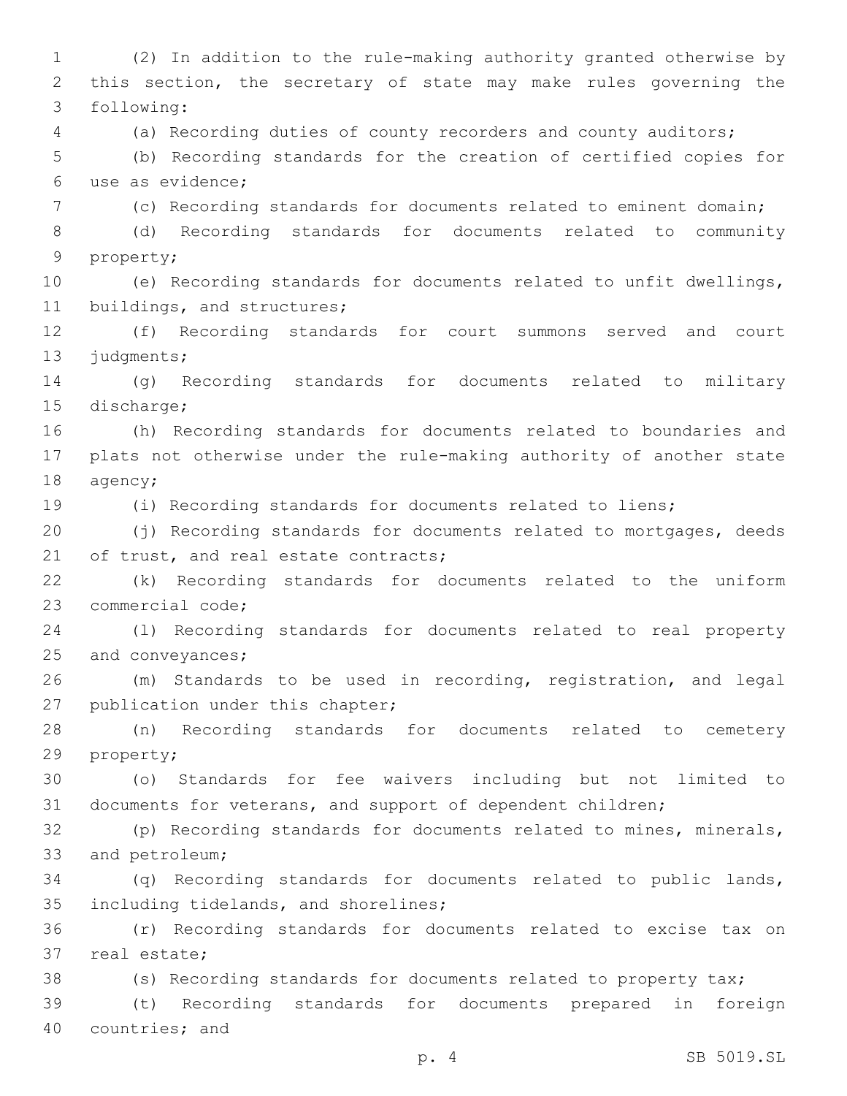1 (2) In addition to the rule-making authority granted otherwise by 2 this section, the secretary of state may make rules governing the following:3 4 (a) Recording duties of county recorders and county auditors; 5 (b) Recording standards for the creation of certified copies for use as evidence;6 7 (c) Recording standards for documents related to eminent domain; 8 (d) Recording standards for documents related to community 9 property; 10 (e) Recording standards for documents related to unfit dwellings, 11 buildings, and structures; 12 (f) Recording standards for court summons served and court 13 judgments; 14 (g) Recording standards for documents related to military 15 discharge; 16 (h) Recording standards for documents related to boundaries and 17 plats not otherwise under the rule-making authority of another state 18 agency; 19 (i) Recording standards for documents related to liens; 20 (j) Recording standards for documents related to mortgages, deeds 21 of trust, and real estate contracts; 22 (k) Recording standards for documents related to the uniform 23 commercial code; 24 (l) Recording standards for documents related to real property 25 and conveyances; 26 (m) Standards to be used in recording, registration, and legal 27 publication under this chapter; 28 (n) Recording standards for documents related to cemetery 29 property; 30 (o) Standards for fee waivers including but not limited to 31 documents for veterans, and support of dependent children; 32 (p) Recording standards for documents related to mines, minerals, 33 and petroleum; 34 (q) Recording standards for documents related to public lands, 35 including tidelands, and shorelines; 36 (r) Recording standards for documents related to excise tax on 37 real estate; 38 (s) Recording standards for documents related to property tax; 39 (t) Recording standards for documents prepared in foreign 40 countries; and

p. 4 SB 5019.SL